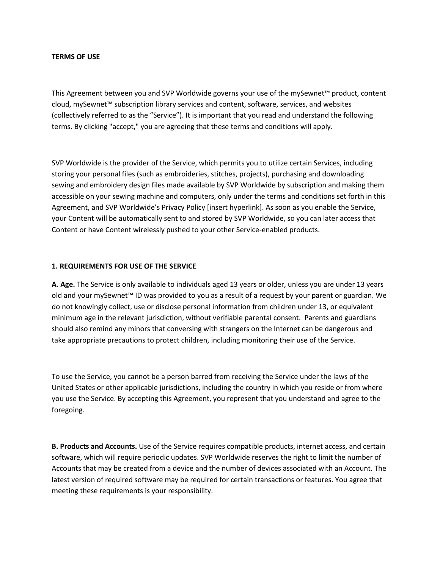### **TERMS OF USE**

This Agreement between you and SVP Worldwide governs your use of the mySewnet™ product, content cloud, mySewnet™ subscription library services and content, software, services, and websites (collectively referred to as the "Service"). It is important that you read and understand the following terms. By clicking "accept," you are agreeing that these terms and conditions will apply.

SVP Worldwide is the provider of the Service, which permits you to utilize certain Services, including storing your personal files (such as embroideries, stitches, projects), purchasing and downloading sewing and embroidery design files made available by SVP Worldwide by subscription and making them accessible on your sewing machine and computers, only under the terms and conditions set forth in this Agreement, and SVP Worldwide's Privacy Policy [insert hyperlink]. As soon as you enable the Service, your Content will be automatically sent to and stored by SVP Worldwide, so you can later access that Content or have Content wirelessly pushed to your other Service-enabled products.

### **1. REQUIREMENTS FOR USE OF THE SERVICE**

**A. Age.** The Service is only available to individuals aged 13 years or older, unless you are under 13 years old and your mySewnet™ ID was provided to you as a result of a request by your parent or guardian. We do not knowingly collect, use or disclose personal information from children under 13, or equivalent minimum age in the relevant jurisdiction, without verifiable parental consent. Parents and guardians should also remind any minors that conversing with strangers on the Internet can be dangerous and take appropriate precautions to protect children, including monitoring their use of the Service.

To use the Service, you cannot be a person barred from receiving the Service under the laws of the United States or other applicable jurisdictions, including the country in which you reside or from where you use the Service. By accepting this Agreement, you represent that you understand and agree to the foregoing.

**B. Products and Accounts.** Use of the Service requires compatible products, internet access, and certain software, which will require periodic updates. SVP Worldwide reserves the right to limit the number of Accounts that may be created from a device and the number of devices associated with an Account. The latest version of required software may be required for certain transactions or features. You agree that meeting these requirements is your responsibility.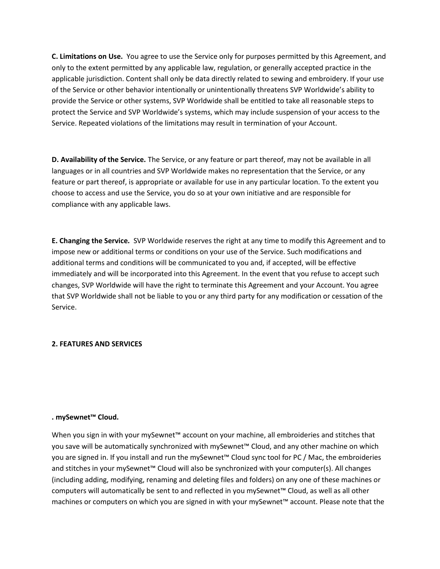**C. Limitations on Use.** You agree to use the Service only for purposes permitted by this Agreement, and only to the extent permitted by any applicable law, regulation, or generally accepted practice in the applicable jurisdiction. Content shall only be data directly related to sewing and embroidery. If your use of the Service or other behavior intentionally or unintentionally threatens SVP Worldwide's ability to provide the Service or other systems, SVP Worldwide shall be entitled to take all reasonable steps to protect the Service and SVP Worldwide's systems, which may include suspension of your access to the Service. Repeated violations of the limitations may result in termination of your Account.

**D. Availability of the Service.** The Service, or any feature or part thereof, may not be available in all languages or in all countries and SVP Worldwide makes no representation that the Service, or any feature or part thereof, is appropriate or available for use in any particular location. To the extent you choose to access and use the Service, you do so at your own initiative and are responsible for compliance with any applicable laws.

**E. Changing the Service.** SVP Worldwide reserves the right at any time to modify this Agreement and to impose new or additional terms or conditions on your use of the Service. Such modifications and additional terms and conditions will be communicated to you and, if accepted, will be effective immediately and will be incorporated into this Agreement. In the event that you refuse to accept such changes, SVP Worldwide will have the right to terminate this Agreement and your Account. You agree that SVP Worldwide shall not be liable to you or any third party for any modification or cessation of the Service.

### **2. FEATURES AND SERVICES**

### **. mySewnet™ Cloud.**

When you sign in with your mySewnet™ account on your machine, all embroideries and stitches that you save will be automatically synchronized with mySewnet™ Cloud, and any other machine on which you are signed in. If you install and run the mySewnet™ Cloud sync tool for PC / Mac, the embroideries and stitches in your mySewnet™ Cloud will also be synchronized with your computer(s). All changes (including adding, modifying, renaming and deleting files and folders) on any one of these machines or computers will automatically be sent to and reflected in you mySewnet™ Cloud, as well as all other machines or computers on which you are signed in with your mySewnet™ account. Please note that the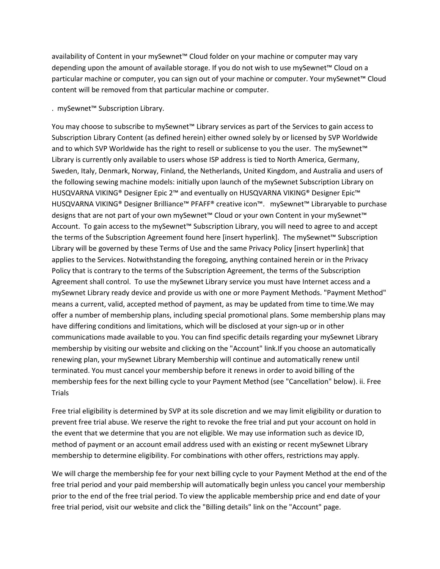availability of Content in your mySewnet™ Cloud folder on your machine or computer may vary depending upon the amount of available storage. If you do not wish to use mySewnet™ Cloud on a particular machine or computer, you can sign out of your machine or computer. Your mySewnet™ Cloud content will be removed from that particular machine or computer.

#### . mySewnet™ Subscription Library.

You may choose to subscribe to mySewnet™ Library services as part of the Services to gain access to Subscription Library Content (as defined herein) either owned solely by or licensed by SVP Worldwide and to which SVP Worldwide has the right to resell or sublicense to you the user. The mySewnet™ Library is currently only available to users whose ISP address is tied to North America, Germany, Sweden, Italy, Denmark, Norway, Finland, the Netherlands, United Kingdom, and Australia and users of the following sewing machine models: initially upon launch of the mySewnet Subscription Library on HUSQVARNA VIKING® Designer Epic 2™ and eventually on HUSQVARNA VIKING® Designer Epic™ HUSQVARNA VIKING® Designer Brilliance™ PFAFF® creative icon™. mySewnet™ Libraryable to purchase designs that are not part of your own mySewnet™ Cloud or your own Content in your mySewnet™ Account. To gain access to the mySewnet™ Subscription Library, you will need to agree to and accept the terms of the Subscription Agreement found here [insert hyperlink]. The mySewnet™ Subscription Library will be governed by these Terms of Use and the same Privacy Policy [insert hyperlink] that applies to the Services. Notwithstanding the foregoing, anything contained herein or in the Privacy Policy that is contrary to the terms of the Subscription Agreement, the terms of the Subscription Agreement shall control. To use the mySewnet Library service you must have Internet access and a mySewnet Library ready device and provide us with one or more Payment Methods. "Payment Method" means a current, valid, accepted method of payment, as may be updated from time to time.We may offer a number of membership plans, including special promotional plans. Some membership plans may have differing conditions and limitations, which will be disclosed at your sign-up or in other communications made available to you. You can find specific details regarding your mySewnet Library membership by visiting our website and clicking on the "Account" link.If you choose an automatically renewing plan, your mySewnet Library Membership will continue and automatically renew until terminated. You must cancel your membership before it renews in order to avoid billing of the membership fees for the next billing cycle to your Payment Method (see "Cancellation" below). ii. Free **Trials** 

Free trial eligibility is determined by SVP at its sole discretion and we may limit eligibility or duration to prevent free trial abuse. We reserve the right to revoke the free trial and put your account on hold in the event that we determine that you are not eligible. We may use information such as device ID, method of payment or an account email address used with an existing or recent mySewnet Library membership to determine eligibility. For combinations with other offers, restrictions may apply.

We will charge the membership fee for your next billing cycle to your Payment Method at the end of the free trial period and your paid membership will automatically begin unless you cancel your membership prior to the end of the free trial period. To view the applicable membership price and end date of your free trial period, visit our website and click the "Billing details" link on the "Account" page.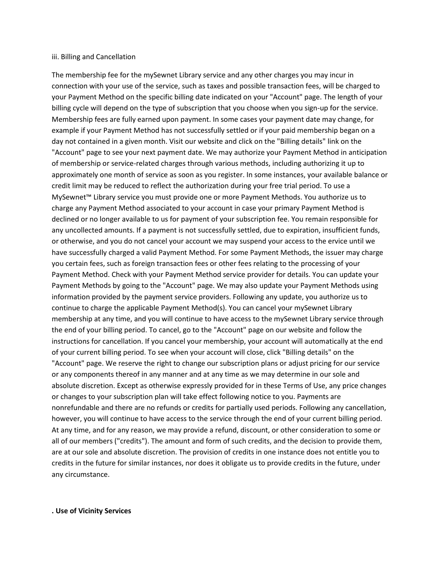#### iii. Billing and Cancellation

The membership fee for the mySewnet Library service and any other charges you may incur in connection with your use of the service, such as taxes and possible transaction fees, will be charged to your Payment Method on the specific billing date indicated on your "Account" page. The length of your billing cycle will depend on the type of subscription that you choose when you sign-up for the service. Membership fees are fully earned upon payment. In some cases your payment date may change, for example if your Payment Method has not successfully settled or if your paid membership began on a day not contained in a given month. Visit our website and click on the "Billing details" link on the "Account" page to see your next payment date. We may authorize your Payment Method in anticipation of membership or service-related charges through various methods, including authorizing it up to approximately one month of service as soon as you register. In some instances, your available balance or credit limit may be reduced to reflect the authorization during your free trial period. To use a MySewnet™ Library service you must provide one or more Payment Methods. You authorize us to charge any Payment Method associated to your account in case your primary Payment Method is declined or no longer available to us for payment of your subscription fee. You remain responsible for any uncollected amounts. If a payment is not successfully settled, due to expiration, insufficient funds, or otherwise, and you do not cancel your account we may suspend your access to the ervice until we have successfully charged a valid Payment Method. For some Payment Methods, the issuer may charge you certain fees, such as foreign transaction fees or other fees relating to the processing of your Payment Method. Check with your Payment Method service provider for details. You can update your Payment Methods by going to the "Account" page. We may also update your Payment Methods using information provided by the payment service providers. Following any update, you authorize us to continue to charge the applicable Payment Method(s). You can cancel your mySewnet Library membership at any time, and you will continue to have access to the mySewnet Library service through the end of your billing period. To cancel, go to the "Account" page on our website and follow the instructions for cancellation. If you cancel your membership, your account will automatically at the end of your current billing period. To see when your account will close, click "Billing details" on the "Account" page. We reserve the right to change our subscription plans or adjust pricing for our service or any components thereof in any manner and at any time as we may determine in our sole and absolute discretion. Except as otherwise expressly provided for in these Terms of Use, any price changes or changes to your subscription plan will take effect following notice to you. Payments are nonrefundable and there are no refunds or credits for partially used periods. Following any cancellation, however, you will continue to have access to the service through the end of your current billing period. At any time, and for any reason, we may provide a refund, discount, or other consideration to some or all of our members ("credits"). The amount and form of such credits, and the decision to provide them, are at our sole and absolute discretion. The provision of credits in one instance does not entitle you to credits in the future for similar instances, nor does it obligate us to provide credits in the future, under any circumstance.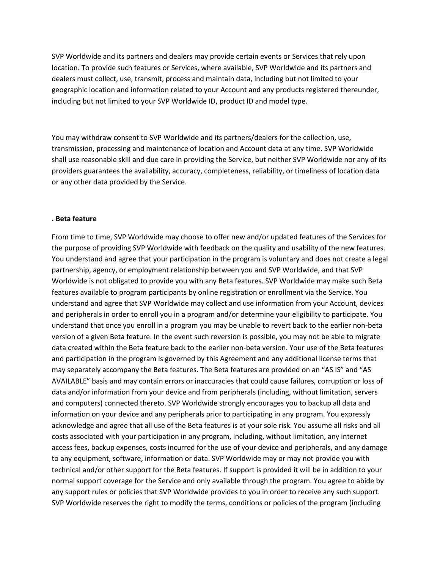SVP Worldwide and its partners and dealers may provide certain events or Services that rely upon location. To provide such features or Services, where available, SVP Worldwide and its partners and dealers must collect, use, transmit, process and maintain data, including but not limited to your geographic location and information related to your Account and any products registered thereunder, including but not limited to your SVP Worldwide ID, product ID and model type.

You may withdraw consent to SVP Worldwide and its partners/dealers for the collection, use, transmission, processing and maintenance of location and Account data at any time. SVP Worldwide shall use reasonable skill and due care in providing the Service, but neither SVP Worldwide nor any of its providers guarantees the availability, accuracy, completeness, reliability, or timeliness of location data or any other data provided by the Service.

#### **. Beta feature**

From time to time, SVP Worldwide may choose to offer new and/or updated features of the Services for the purpose of providing SVP Worldwide with feedback on the quality and usability of the new features. You understand and agree that your participation in the program is voluntary and does not create a legal partnership, agency, or employment relationship between you and SVP Worldwide, and that SVP Worldwide is not obligated to provide you with any Beta features. SVP Worldwide may make such Beta features available to program participants by online registration or enrollment via the Service. You understand and agree that SVP Worldwide may collect and use information from your Account, devices and peripherals in order to enroll you in a program and/or determine your eligibility to participate. You understand that once you enroll in a program you may be unable to revert back to the earlier non-beta version of a given Beta feature. In the event such reversion is possible, you may not be able to migrate data created within the Beta feature back to the earlier non-beta version. Your use of the Beta features and participation in the program is governed by this Agreement and any additional license terms that may separately accompany the Beta features. The Beta features are provided on an "AS IS" and "AS AVAILABLE" basis and may contain errors or inaccuracies that could cause failures, corruption or loss of data and/or information from your device and from peripherals (including, without limitation, servers and computers) connected thereto. SVP Worldwide strongly encourages you to backup all data and information on your device and any peripherals prior to participating in any program. You expressly acknowledge and agree that all use of the Beta features is at your sole risk. You assume all risks and all costs associated with your participation in any program, including, without limitation, any internet access fees, backup expenses, costs incurred for the use of your device and peripherals, and any damage to any equipment, software, information or data. SVP Worldwide may or may not provide you with technical and/or other support for the Beta features. If support is provided it will be in addition to your normal support coverage for the Service and only available through the program. You agree to abide by any support rules or policies that SVP Worldwide provides to you in order to receive any such support. SVP Worldwide reserves the right to modify the terms, conditions or policies of the program (including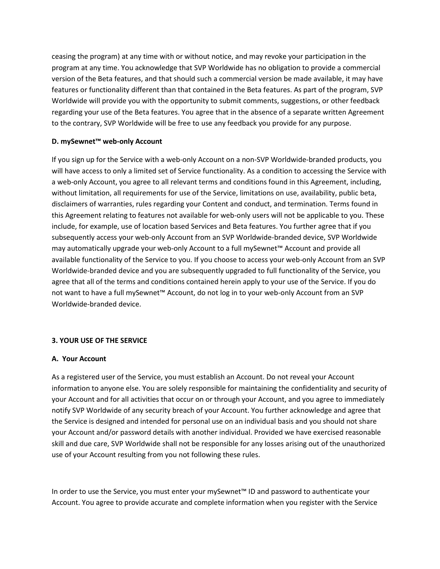ceasing the program) at any time with or without notice, and may revoke your participation in the program at any time. You acknowledge that SVP Worldwide has no obligation to provide a commercial version of the Beta features, and that should such a commercial version be made available, it may have features or functionality different than that contained in the Beta features. As part of the program, SVP Worldwide will provide you with the opportunity to submit comments, suggestions, or other feedback regarding your use of the Beta features. You agree that in the absence of a separate written Agreement to the contrary, SVP Worldwide will be free to use any feedback you provide for any purpose.

### **D. mySewnet™ web-only Account**

If you sign up for the Service with a web-only Account on a non-SVP Worldwide-branded products, you will have access to only a limited set of Service functionality. As a condition to accessing the Service with a web-only Account, you agree to all relevant terms and conditions found in this Agreement, including, without limitation, all requirements for use of the Service, limitations on use, availability, public beta, disclaimers of warranties, rules regarding your Content and conduct, and termination. Terms found in this Agreement relating to features not available for web-only users will not be applicable to you. These include, for example, use of location based Services and Beta features. You further agree that if you subsequently access your web-only Account from an SVP Worldwide-branded device, SVP Worldwide may automatically upgrade your web-only Account to a full mySewnet™ Account and provide all available functionality of the Service to you. If you choose to access your web-only Account from an SVP Worldwide-branded device and you are subsequently upgraded to full functionality of the Service, you agree that all of the terms and conditions contained herein apply to your use of the Service. If you do not want to have a full mySewnet™ Account, do not log in to your web-only Account from an SVP Worldwide-branded device.

### **3. YOUR USE OF THE SERVICE**

### **A. Your Account**

As a registered user of the Service, you must establish an Account. Do not reveal your Account information to anyone else. You are solely responsible for maintaining the confidentiality and security of your Account and for all activities that occur on or through your Account, and you agree to immediately notify SVP Worldwide of any security breach of your Account. You further acknowledge and agree that the Service is designed and intended for personal use on an individual basis and you should not share your Account and/or password details with another individual. Provided we have exercised reasonable skill and due care, SVP Worldwide shall not be responsible for any losses arising out of the unauthorized use of your Account resulting from you not following these rules.

In order to use the Service, you must enter your mySewnet™ ID and password to authenticate your Account. You agree to provide accurate and complete information when you register with the Service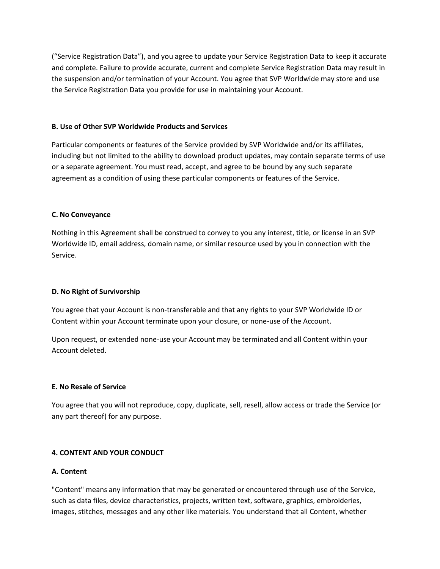("Service Registration Data"), and you agree to update your Service Registration Data to keep it accurate and complete. Failure to provide accurate, current and complete Service Registration Data may result in the suspension and/or termination of your Account. You agree that SVP Worldwide may store and use the Service Registration Data you provide for use in maintaining your Account.

### **B. Use of Other SVP Worldwide Products and Services**

Particular components or features of the Service provided by SVP Worldwide and/or its affiliates, including but not limited to the ability to download product updates, may contain separate terms of use or a separate agreement. You must read, accept, and agree to be bound by any such separate agreement as a condition of using these particular components or features of the Service.

### **C. No Conveyance**

Nothing in this Agreement shall be construed to convey to you any interest, title, or license in an SVP Worldwide ID, email address, domain name, or similar resource used by you in connection with the Service.

# **D. No Right of Survivorship**

You agree that your Account is non-transferable and that any rights to your SVP Worldwide ID or Content within your Account terminate upon your closure, or none-use of the Account.

Upon request, or extended none-use your Account may be terminated and all Content within your Account deleted.

### **E. No Resale of Service**

You agree that you will not reproduce, copy, duplicate, sell, resell, allow access or trade the Service (or any part thereof) for any purpose.

# **4. CONTENT AND YOUR CONDUCT**

### **A. Content**

"Content" means any information that may be generated or encountered through use of the Service, such as data files, device characteristics, projects, written text, software, graphics, embroideries, images, stitches, messages and any other like materials. You understand that all Content, whether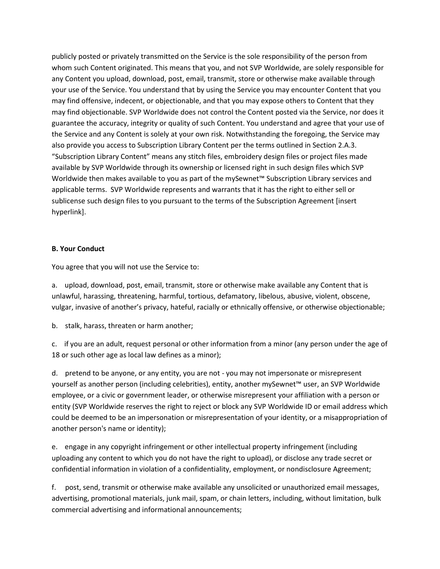publicly posted or privately transmitted on the Service is the sole responsibility of the person from whom such Content originated. This means that you, and not SVP Worldwide, are solely responsible for any Content you upload, download, post, email, transmit, store or otherwise make available through your use of the Service. You understand that by using the Service you may encounter Content that you may find offensive, indecent, or objectionable, and that you may expose others to Content that they may find objectionable. SVP Worldwide does not control the Content posted via the Service, nor does it guarantee the accuracy, integrity or quality of such Content. You understand and agree that your use of the Service and any Content is solely at your own risk. Notwithstanding the foregoing, the Service may also provide you access to Subscription Library Content per the terms outlined in Section 2.A.3. "Subscription Library Content" means any stitch files, embroidery design files or project files made available by SVP Worldwide through its ownership or licensed right in such design files which SVP Worldwide then makes available to you as part of the mySewnet™ Subscription Library services and applicable terms. SVP Worldwide represents and warrants that it has the right to either sell or sublicense such design files to you pursuant to the terms of the Subscription Agreement [insert hyperlink].

### **B. Your Conduct**

You agree that you will not use the Service to:

a. upload, download, post, email, transmit, store or otherwise make available any Content that is unlawful, harassing, threatening, harmful, tortious, defamatory, libelous, abusive, violent, obscene, vulgar, invasive of another's privacy, hateful, racially or ethnically offensive, or otherwise objectionable;

b. stalk, harass, threaten or harm another;

c. if you are an adult, request personal or other information from a minor (any person under the age of 18 or such other age as local law defines as a minor);

d. pretend to be anyone, or any entity, you are not - you may not impersonate or misrepresent yourself as another person (including celebrities), entity, another mySewnet™ user, an SVP Worldwide employee, or a civic or government leader, or otherwise misrepresent your affiliation with a person or entity (SVP Worldwide reserves the right to reject or block any SVP Worldwide ID or email address which could be deemed to be an impersonation or misrepresentation of your identity, or a misappropriation of another person's name or identity);

e. engage in any copyright infringement or other intellectual property infringement (including uploading any content to which you do not have the right to upload), or disclose any trade secret or confidential information in violation of a confidentiality, employment, or nondisclosure Agreement;

f. post, send, transmit or otherwise make available any unsolicited or unauthorized email messages, advertising, promotional materials, junk mail, spam, or chain letters, including, without limitation, bulk commercial advertising and informational announcements;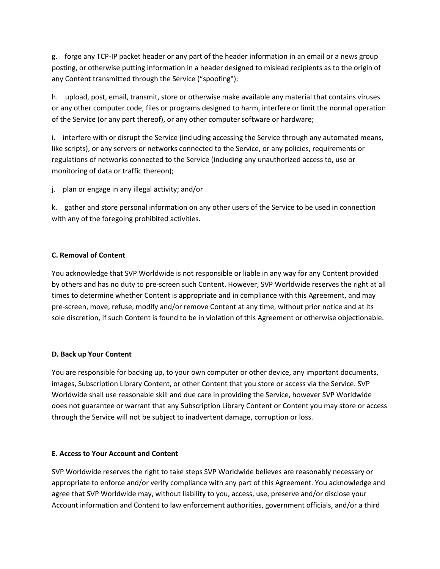g. forge any TCP-IP packet header or any part of the header information in an email or a news group posting, or otherwise putting information in a header designed to mislead recipients as to the origin of any Content transmitted through the Service ("spoofing");

h. upload, post, email, transmit, store or otherwise make available any material that contains viruses or any other computer code, files or programs designed to harm, interfere or limit the normal operation of the Service (or any part thereof), or any other computer software or hardware;

i. interfere with or disrupt the Service (including accessing the Service through any automated means, like scripts), or any servers or networks connected to the Service, or any policies, requirements or regulations of networks connected to the Service (including any unauthorized access to, use or monitoring of data or traffic thereon);

j. plan or engage in any illegal activity; and/or

k. gather and store personal information on any other users of the Service to be used in connection with any of the foregoing prohibited activities.

# **C. Removal of Content**

You acknowledge that SVP Worldwide is not responsible or liable in any way for any Content provided by others and has no duty to pre-screen such Content. However, SVP Worldwide reserves the right at all times to determine whether Content is appropriate and in compliance with this Agreement, and may pre-screen, move, refuse, modify and/or remove Content at any time, without prior notice and at its sole discretion, if such Content is found to be in violation of this Agreement or otherwise objectionable.

### **D. Back up Your Content**

You are responsible for backing up, to your own computer or other device, any important documents, images, Subscription Library Content, or other Content that you store or access via the Service. SVP Worldwide shall use reasonable skill and due care in providing the Service, however SVP Worldwide does not guarantee or warrant that any Subscription Library Content or Content you may store or access through the Service will not be subject to inadvertent damage, corruption or loss.

### **E. Access to Your Account and Content**

SVP Worldwide reserves the right to take steps SVP Worldwide believes are reasonably necessary or appropriate to enforce and/or verify compliance with any part of this Agreement. You acknowledge and agree that SVP Worldwide may, without liability to you, access, use, preserve and/or disclose your Account information and Content to law enforcement authorities, government officials, and/or a third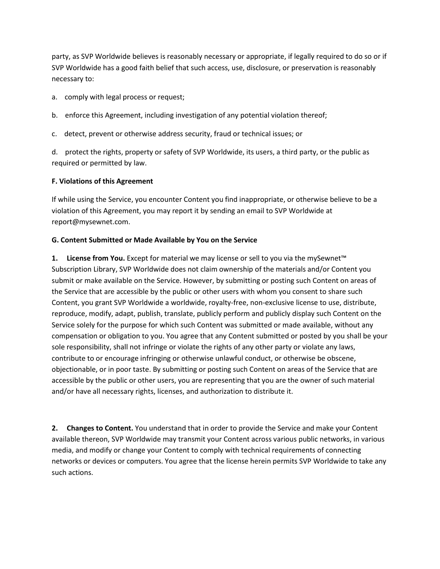party, as SVP Worldwide believes is reasonably necessary or appropriate, if legally required to do so or if SVP Worldwide has a good faith belief that such access, use, disclosure, or preservation is reasonably necessary to:

- a. comply with legal process or request;
- b. enforce this Agreement, including investigation of any potential violation thereof;
- c. detect, prevent or otherwise address security, fraud or technical issues; or

d. protect the rights, property or safety of SVP Worldwide, its users, a third party, or the public as required or permitted by law.

# **F. Violations of this Agreement**

If while using the Service, you encounter Content you find inappropriate, or otherwise believe to be a violation of this Agreement, you may report it by sending an email to SVP Worldwide at report@mysewnet.com.

# **G. Content Submitted or Made Available by You on the Service**

**1.** License from You. Except for material we may license or sell to you via the mySewnet™ Subscription Library, SVP Worldwide does not claim ownership of the materials and/or Content you submit or make available on the Service. However, by submitting or posting such Content on areas of the Service that are accessible by the public or other users with whom you consent to share such Content, you grant SVP Worldwide a worldwide, royalty-free, non-exclusive license to use, distribute, reproduce, modify, adapt, publish, translate, publicly perform and publicly display such Content on the Service solely for the purpose for which such Content was submitted or made available, without any compensation or obligation to you. You agree that any Content submitted or posted by you shall be your sole responsibility, shall not infringe or violate the rights of any other party or violate any laws, contribute to or encourage infringing or otherwise unlawful conduct, or otherwise be obscene, objectionable, or in poor taste. By submitting or posting such Content on areas of the Service that are accessible by the public or other users, you are representing that you are the owner of such material and/or have all necessary rights, licenses, and authorization to distribute it.

**2. Changes to Content.** You understand that in order to provide the Service and make your Content available thereon, SVP Worldwide may transmit your Content across various public networks, in various media, and modify or change your Content to comply with technical requirements of connecting networks or devices or computers. You agree that the license herein permits SVP Worldwide to take any such actions.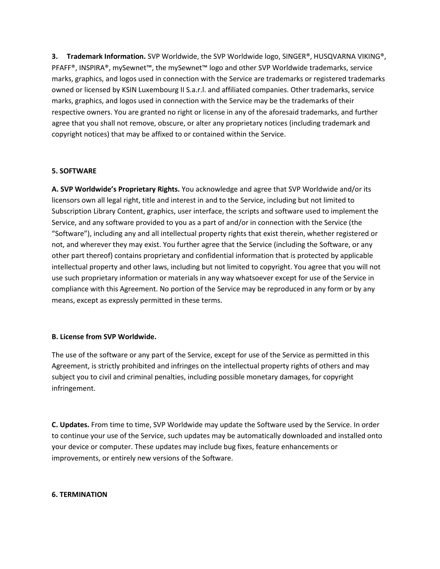**3. Trademark Information.** SVP Worldwide, the SVP Worldwide logo, SINGER®, HUSQVARNA VIKING®, PFAFF<sup>®</sup>, INSPIRA®, mySewnet™, the mySewnet™ logo and other SVP Worldwide trademarks, service marks, graphics, and logos used in connection with the Service are trademarks or registered trademarks owned or licensed by KSIN Luxembourg II S.a.r.l. and affiliated companies. Other trademarks, service marks, graphics, and logos used in connection with the Service may be the trademarks of their respective owners. You are granted no right or license in any of the aforesaid trademarks, and further agree that you shall not remove, obscure, or alter any proprietary notices (including trademark and copyright notices) that may be affixed to or contained within the Service.

### **5. SOFTWARE**

**A. SVP Worldwide's Proprietary Rights.** You acknowledge and agree that SVP Worldwide and/or its licensors own all legal right, title and interest in and to the Service, including but not limited to Subscription Library Content, graphics, user interface, the scripts and software used to implement the Service, and any software provided to you as a part of and/or in connection with the Service (the "Software"), including any and all intellectual property rights that exist therein, whether registered or not, and wherever they may exist. You further agree that the Service (including the Software, or any other part thereof) contains proprietary and confidential information that is protected by applicable intellectual property and other laws, including but not limited to copyright. You agree that you will not use such proprietary information or materials in any way whatsoever except for use of the Service in compliance with this Agreement. No portion of the Service may be reproduced in any form or by any means, except as expressly permitted in these terms.

### **B. License from SVP Worldwide.**

The use of the software or any part of the Service, except for use of the Service as permitted in this Agreement, is strictly prohibited and infringes on the intellectual property rights of others and may subject you to civil and criminal penalties, including possible monetary damages, for copyright infringement.

**C. Updates.** From time to time, SVP Worldwide may update the Software used by the Service. In order to continue your use of the Service, such updates may be automatically downloaded and installed onto your device or computer. These updates may include bug fixes, feature enhancements or improvements, or entirely new versions of the Software.

### **6. TERMINATION**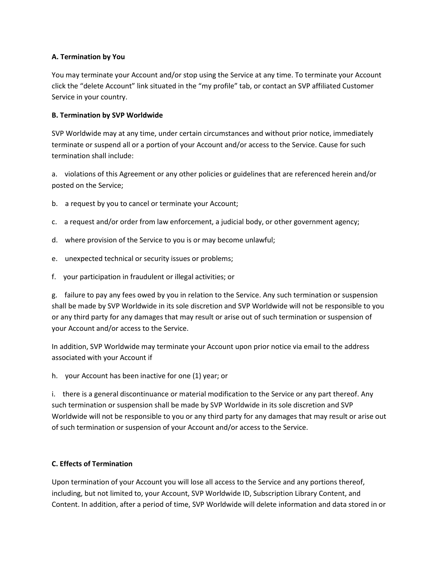# **A. Termination by You**

You may terminate your Account and/or stop using the Service at any time. To terminate your Account click the "delete Account" link situated in the "my profile" tab, or contact an SVP affiliated Customer Service in your country.

### **B. Termination by SVP Worldwide**

SVP Worldwide may at any time, under certain circumstances and without prior notice, immediately terminate or suspend all or a portion of your Account and/or access to the Service. Cause for such termination shall include:

a. violations of this Agreement or any other policies or guidelines that are referenced herein and/or posted on the Service;

- b. a request by you to cancel or terminate your Account;
- c. a request and/or order from law enforcement, a judicial body, or other government agency;
- d. where provision of the Service to you is or may become unlawful;
- e. unexpected technical or security issues or problems;
- f. your participation in fraudulent or illegal activities; or

g. failure to pay any fees owed by you in relation to the Service. Any such termination or suspension shall be made by SVP Worldwide in its sole discretion and SVP Worldwide will not be responsible to you or any third party for any damages that may result or arise out of such termination or suspension of your Account and/or access to the Service.

In addition, SVP Worldwide may terminate your Account upon prior notice via email to the address associated with your Account if

h. your Account has been inactive for one (1) year; or

i. there is a general discontinuance or material modification to the Service or any part thereof. Any such termination or suspension shall be made by SVP Worldwide in its sole discretion and SVP Worldwide will not be responsible to you or any third party for any damages that may result or arise out of such termination or suspension of your Account and/or access to the Service.

### **C. Effects of Termination**

Upon termination of your Account you will lose all access to the Service and any portions thereof, including, but not limited to, your Account, SVP Worldwide ID, Subscription Library Content, and Content. In addition, after a period of time, SVP Worldwide will delete information and data stored in or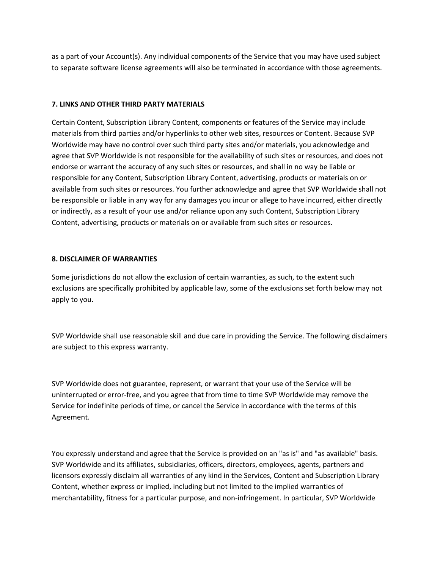as a part of your Account(s). Any individual components of the Service that you may have used subject to separate software license agreements will also be terminated in accordance with those agreements.

# **7. LINKS AND OTHER THIRD PARTY MATERIALS**

Certain Content, Subscription Library Content, components or features of the Service may include materials from third parties and/or hyperlinks to other web sites, resources or Content. Because SVP Worldwide may have no control over such third party sites and/or materials, you acknowledge and agree that SVP Worldwide is not responsible for the availability of such sites or resources, and does not endorse or warrant the accuracy of any such sites or resources, and shall in no way be liable or responsible for any Content, Subscription Library Content, advertising, products or materials on or available from such sites or resources. You further acknowledge and agree that SVP Worldwide shall not be responsible or liable in any way for any damages you incur or allege to have incurred, either directly or indirectly, as a result of your use and/or reliance upon any such Content, Subscription Library Content, advertising, products or materials on or available from such sites or resources.

### **8. DISCLAIMER OF WARRANTIES**

Some jurisdictions do not allow the exclusion of certain warranties, as such, to the extent such exclusions are specifically prohibited by applicable law, some of the exclusions set forth below may not apply to you.

SVP Worldwide shall use reasonable skill and due care in providing the Service. The following disclaimers are subject to this express warranty.

SVP Worldwide does not guarantee, represent, or warrant that your use of the Service will be uninterrupted or error-free, and you agree that from time to time SVP Worldwide may remove the Service for indefinite periods of time, or cancel the Service in accordance with the terms of this Agreement.

You expressly understand and agree that the Service is provided on an "as is" and "as available" basis. SVP Worldwide and its affiliates, subsidiaries, officers, directors, employees, agents, partners and licensors expressly disclaim all warranties of any kind in the Services, Content and Subscription Library Content, whether express or implied, including but not limited to the implied warranties of merchantability, fitness for a particular purpose, and non-infringement. In particular, SVP Worldwide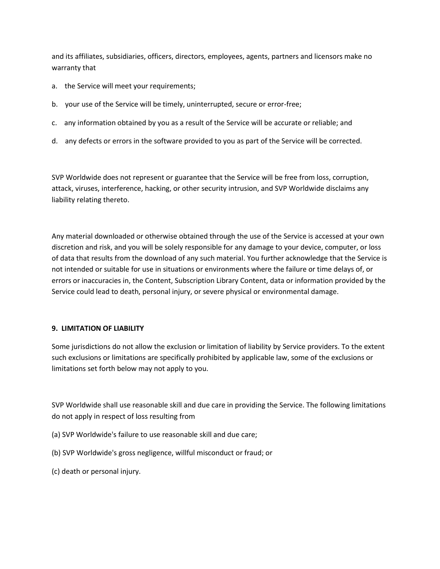and its affiliates, subsidiaries, officers, directors, employees, agents, partners and licensors make no warranty that

- a. the Service will meet your requirements;
- b. your use of the Service will be timely, uninterrupted, secure or error-free;
- c. any information obtained by you as a result of the Service will be accurate or reliable; and
- d. any defects or errors in the software provided to you as part of the Service will be corrected.

SVP Worldwide does not represent or guarantee that the Service will be free from loss, corruption, attack, viruses, interference, hacking, or other security intrusion, and SVP Worldwide disclaims any liability relating thereto.

Any material downloaded or otherwise obtained through the use of the Service is accessed at your own discretion and risk, and you will be solely responsible for any damage to your device, computer, or loss of data that results from the download of any such material. You further acknowledge that the Service is not intended or suitable for use in situations or environments where the failure or time delays of, or errors or inaccuracies in, the Content, Subscription Library Content, data or information provided by the Service could lead to death, personal injury, or severe physical or environmental damage.

### **9. LIMITATION OF LIABILITY**

Some jurisdictions do not allow the exclusion or limitation of liability by Service providers. To the extent such exclusions or limitations are specifically prohibited by applicable law, some of the exclusions or limitations set forth below may not apply to you.

SVP Worldwide shall use reasonable skill and due care in providing the Service. The following limitations do not apply in respect of loss resulting from

- (a) SVP Worldwide's failure to use reasonable skill and due care;
- (b) SVP Worldwide's gross negligence, willful misconduct or fraud; or
- (c) death or personal injury.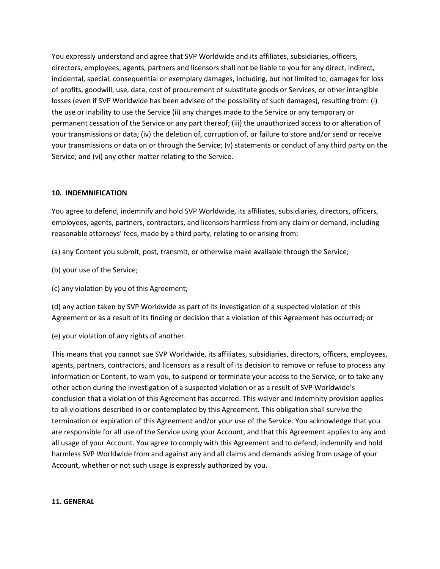You expressly understand and agree that SVP Worldwide and its affiliates, subsidiaries, officers, directors, employees, agents, partners and licensors shall not be liable to you for any direct, indirect, incidental, special, consequential or exemplary damages, including, but not limited to, damages for loss of profits, goodwill, use, data, cost of procurement of substitute goods or Services, or other intangible losses (even if SVP Worldwide has been advised of the possibility of such damages), resulting from: (i) the use or inability to use the Service (ii) any changes made to the Service or any temporary or permanent cessation of the Service or any part thereof; (iii) the unauthorized access to or alteration of your transmissions or data; (iv) the deletion of, corruption of, or failure to store and/or send or receive your transmissions or data on or through the Service; (v) statements or conduct of any third party on the Service; and (vi) any other matter relating to the Service.

# **10. INDEMNIFICATION**

You agree to defend, indemnify and hold SVP Worldwide, its affiliates, subsidiaries, directors, officers, employees, agents, partners, contractors, and licensors harmless from any claim or demand, including reasonable attorneys' fees, made by a third party, relating to or arising from:

(a) any Content you submit, post, transmit, or otherwise make available through the Service;

(b) your use of the Service;

(c) any violation by you of this Agreement;

(d) any action taken by SVP Worldwide as part of its investigation of a suspected violation of this Agreement or as a result of its finding or decision that a violation of this Agreement has occurred; or

(e) your violation of any rights of another.

This means that you cannot sue SVP Worldwide, its affiliates, subsidiaries, directors, officers, employees, agents, partners, contractors, and licensors as a result of its decision to remove or refuse to process any information or Content, to warn you, to suspend or terminate your access to the Service, or to take any other action during the investigation of a suspected violation or as a result of SVP Worldwide's conclusion that a violation of this Agreement has occurred. This waiver and indemnity provision applies to all violations described in or contemplated by this Agreement. This obligation shall survive the termination or expiration of this Agreement and/or your use of the Service. You acknowledge that you are responsible for all use of the Service using your Account, and that this Agreement applies to any and all usage of your Account. You agree to comply with this Agreement and to defend, indemnify and hold harmless SVP Worldwide from and against any and all claims and demands arising from usage of your Account, whether or not such usage is expressly authorized by you.

### **11. GENERAL**